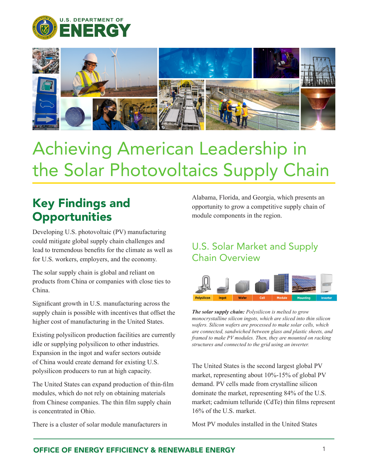



# Achieving American Leadership in the Solar Photovoltaics Supply Chain

## Key Findings and **Opportunities**

Developing U.S. photovoltaic (PV) manufacturing could mitigate global supply chain challenges and lead to tremendous benefits for the climate as well as for U.S. workers, employers, and the economy.

The solar supply chain is global and reliant on products from China or companies with close ties to China.

Significant growth in U.S. manufacturing across the supply chain is possible with incentives that offset the higher cost of manufacturing in the United States.

Existing polysilicon production facilities are currently idle or supplying polysilicon to other industries. Expansion in the ingot and wafer sectors outside of China would create demand for existing U.S. polysilicon producers to run at high capacity.

The United States can expand production of thin-film modules, which do not rely on obtaining materials from Chinese companies. The thin film supply chain is concentrated in Ohio.

There is a cluster of solar module manufacturers in

Alabama, Florida, and Georgia, which presents an opportunity to grow a competitive supply chain of module components in the region.

### U.S. Solar Market and Supply Chain Overview



*The solar supply chain: Polysilicon is melted to grow monocrystalline silicon ingots, which are sliced into thin silicon wafers. Silicon wafers are processed to make solar cells, which are connected, sandwiched between glass and plastic sheets, and framed to make PV modules. Then, they are mounted on racking structures and connected to the grid using an inverter.*

The United States is the second largest global PV market, representing about 10%-15% of global PV demand. PV cells made from crystalline silicon dominate the market, representing 84% of the U.S. market; cadmium telluride (CdTe) thin films represent 16% of the U.S. market.

Most PV modules installed in the United States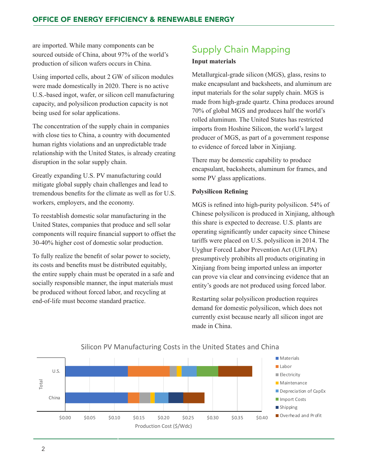are imported. While many components can be sourced outside of China, about 97% of the world's production of silicon wafers occurs in China.

Using imported cells, about 2 GW of silicon modules were made domestically in 2020. There is no active U.S.-based ingot, wafer, or silicon cell manufacturing capacity, and polysilicon production capacity is not being used for solar applications.

The concentration of the supply chain in companies with close ties to China, a country with documented human rights violations and an unpredictable trade relationship with the United States, is already creating disruption in the solar supply chain.

Greatly expanding U.S. PV manufacturing could mitigate global supply chain challenges and lead to tremendous benefits for the climate as well as for U.S. workers, employers, and the economy.

To reestablish domestic solar manufacturing in the United States, companies that produce and sell solar components will require financial support to offset the 30-40% higher cost of domestic solar production.

To fully realize the benefit of solar power to society, its costs and benefits must be distributed equitably, the entire supply chain must be operated in a safe and socially responsible manner, the input materials must be produced without forced labor, and recycling at end-of-life must become standard practice.

### Supply Chain Mapping

#### **Input materials**

Metallurgical-grade silicon (MGS), glass, resins to make encapsulant and backsheets, and aluminum are input materials for the solar supply chain. MGS is made from high-grade quartz. China produces around 70% of global MGS and produces half the world's rolled aluminum. The United States has restricted imports from Hoshine Silicon, the world's largest producer of MGS, as part of a government response to evidence of forced labor in Xinjiang.

There may be domestic capability to produce encapsulant, backsheets, aluminum for frames, and some PV glass applications.

#### **Polysilicon Refining**

MGS is refined into high-purity polysilicon. 54% of Chinese polysilicon is produced in Xinjiang, although this share is expected to decrease. U.S. plants are operating significantly under capacity since Chinese tariffs were placed on U.S. polysilicon in 2014. The Uyghur Forced Labor Prevention Act (UFLPA) presumptively prohibits all products originating in Xinjiang from being imported unless an importer can prove via clear and convincing evidence that an entity's goods are not produced using forced labor.

Restarting solar polysilicon production requires demand for domestic polysilicon, which does not currently exist because nearly all silicon ingot are made in China.



#### Silicon PV Manufacturing Costs in the United States and China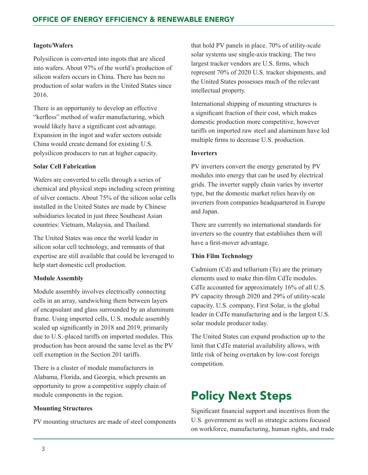#### **Ingots/Wafers**

Polysilicon is converted into ingots that are sliced into wafers. About 97% of the world's production of silicon wafers occurs in China. There has been no production of solar wafers in the United States since 2016.

There is an opportunity to develop an effective "kerfless" method of wafer manufacturing, which would likely have a significant cost advantage. Expansion in the ingot and wafer sectors outside China would create demand for existing U.S. polysilicon producers to run at higher capacity.

#### **Solar Cell Fabrication**

Wafers are converted to cells through a series of chemical and physical steps including screen printing of silver contacts. About 75% of the silicon solar cells installed in the United States are made by Chinese subsidiaries located in just three Southeast Asian countries: Vietnam, Malaysia, and Thailand.

The United States was once the world leader in silicon solar cell technology, and remnants of that expertise are still available that could be leveraged to help start domestic cell production.

#### **Module Assembly**

Module assembly involves electrically connecting cells in an array, sandwiching them between layers of encapsulant and glass surrounded by an aluminum frame. Using imported cells, U.S. module assembly scaled up significantly in 2018 and 2019, primarily due to U.S.-placed tariffs on imported modules. This production has been around the same level as the PV cell exemption in the Section 201 tariffs.

There is a cluster of module manufacturers in Alabama, Florida, and Georgia, which presents an opportunity to grow a competitive supply chain of module components in the region.

#### **Mounting Structures**

PV mounting structures are made of steel components

that hold PV panels in place. 70% of utility-scale solar systems use single-axis tracking. The two largest tracker vendors are U.S. firms, which represent 70% of 2020 U.S. tracker shipments, and the United States possesses much of the relevant intellectual property.

International shipping of mounting structures is a significant fraction of their cost, which makes domestic production more competitive, however tariffs on imported raw steel and aluminum have led multiple firms to decrease U.S. production.

#### **Inverters**

PV inverters convert the energy generated by PV modules into energy that can be used by electrical grids. The inverter supply chain varies by inverter type, but the domestic market relies heavily on inverters from companies headquartered in Europe and Japan.

There are currently no international standards for inverters so the country that establishes them will have a first-mover advantage.

#### **Thin Film Technology**

Cadmium (Cd) and tellurium (Te) are the primary elements used to make thin-film CdTe modules. CdTe accounted for approximately 16% of all U.S. PV capacity through 2020 and 29% of utility-scale capacity. U.S. company, First Solar, is the global leader in CdTe manufacturing and is the largest U.S. solar module producer today.

The United States can expand production up to the limit that CdTe material availability allows, with little risk of being overtaken by low-cost foreign competition.

# Policy Next Steps

Significant financial support and incentives from the U.S. government as well as strategic actions focused on workforce, manufacturing, human rights, and trade